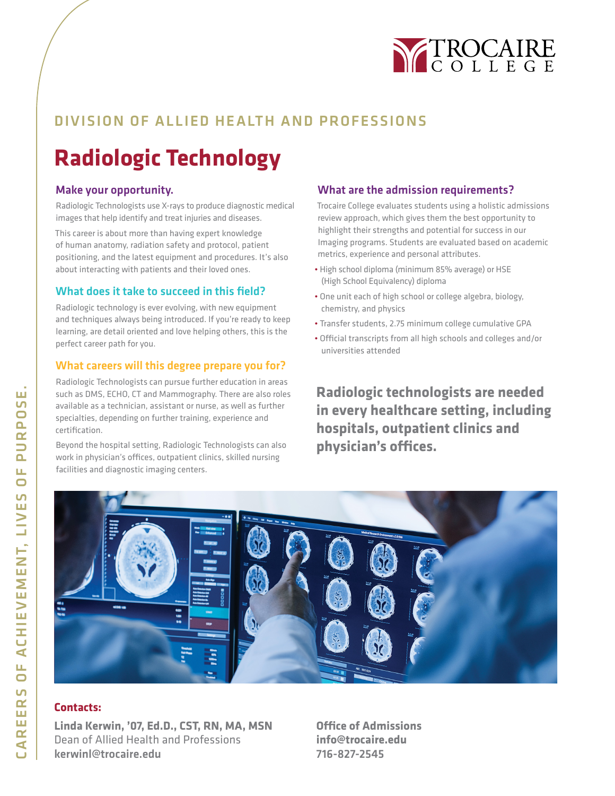

## DIVISION OF ALLIED HEALTH AND PROFESSIONS

# **Radiologic Technology**

### Make your opportunity.

Radiologic Technologists use X-rays to produce diagnostic medical images that help identify and treat injuries and diseases.

This career is about more than having expert knowledge of human anatomy, radiation safety and protocol, patient positioning, and the latest equipment and procedures. It's also about interacting with patients and their loved ones.

### What does it take to succeed in this field?

Radiologic technology is ever evolving, with new equipment and techniques always being introduced. If you're ready to keep learning, are detail oriented and love helping others, this is the perfect career path for you.

### What careers will this degree prepare you for?

Radiologic Technologists can pursue further education in areas such as DMS, ECHO, CT and Mammography. There are also roles available as a technician, assistant or nurse, as well as further specialties, depending on further training, experience and certification.

Beyond the hospital setting, Radiologic Technologists can also work in physician's offices, outpatient clinics, skilled nursing facilities and diagnostic imaging centers.

### What are the admission requirements?

Trocaire College evaluates students using a holistic admissions review approach, which gives them the best opportunity to highlight their strengths and potential for success in our Imaging programs. Students are evaluated based on academic metrics, experience and personal attributes.

- High school diploma (minimum 85% average) or HSE (High School Equivalency) diploma
- One unit each of high school or college algebra, biology, chemistry, and physics
- Transfer students, 2.75 minimum college cumulative GPA
- Official transcripts from all high schools and colleges and/or universities attended

**Radiologic technologists are needed in every healthcare setting, including hospitals, outpatient clinics and physician's offices.**



### **Contacts:**

**Linda Kerwin, '07, Ed.D., CST, RN, MA, MSN** Dean of Allied Health and Professions kerwinl@trocaire.edu

**Office of Admissions info@trocaire.edu** 716-827-2545